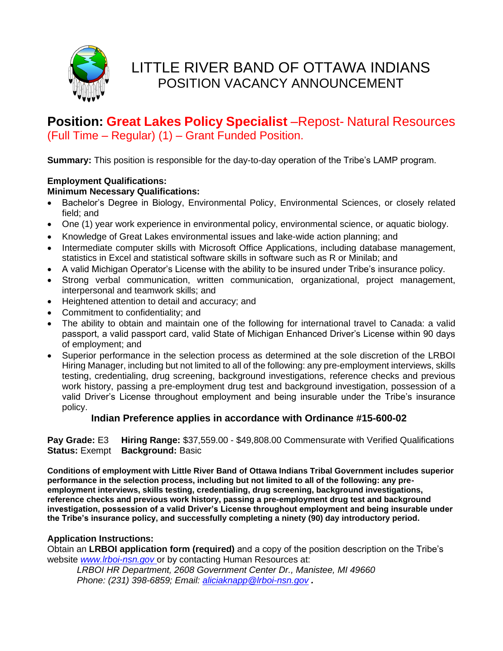

# **Position: Great Lakes Policy Specialist** –Repost- Natural Resources (Full Time – Regular) (1) – Grant Funded Position.

**Summary:** This position is responsible for the day-to-day operation of the Tribe's LAMP program.

### **Employment Qualifications:**

#### **Minimum Necessary Qualifications:**

- Bachelor's Degree in Biology, Environmental Policy, Environmental Sciences, or closely related field; and
- One (1) year work experience in environmental policy, environmental science, or aquatic biology.
- Knowledge of Great Lakes environmental issues and lake-wide action planning; and
- Intermediate computer skills with Microsoft Office Applications, including database management, statistics in Excel and statistical software skills in software such as R or Minilab; and
- A valid Michigan Operator's License with the ability to be insured under Tribe's insurance policy.
- Strong verbal communication, written communication, organizational, project management, interpersonal and teamwork skills; and
- Heightened attention to detail and accuracy; and
- Commitment to confidentiality; and
- The ability to obtain and maintain one of the following for international travel to Canada: a valid passport, a valid passport card, valid State of Michigan Enhanced Driver's License within 90 days of employment; and
- Superior performance in the selection process as determined at the sole discretion of the LRBOI Hiring Manager, including but not limited to all of the following: any pre-employment interviews, skills testing, credentialing, drug screening, background investigations, reference checks and previous work history, passing a pre-employment drug test and background investigation, possession of a valid Driver's License throughout employment and being insurable under the Tribe's insurance policy.

## **Indian Preference applies in accordance with Ordinance #15-600-02**

**Pay Grade:** E3 **Hiring Range:** \$37,559.00 - \$49,808.00 Commensurate with Verified Qualifications **Status:** Exempt **Background:** Basic

**Conditions of employment with Little River Band of Ottawa Indians Tribal Government includes superior performance in the selection process, including but not limited to all of the following: any preemployment interviews, skills testing, credentialing, drug screening, background investigations, reference checks and previous work history, passing a pre-employment drug test and background investigation, possession of a valid Driver's License throughout employment and being insurable under the Tribe's insurance policy, and successfully completing a ninety (90) day introductory period.**

#### **Application Instructions:**

Obtain an **LRBOI application form (required)** and a copy of the position description on the Tribe's website *[www.lrboi-nsn.gov](http://www.lrboi-nsn.gov/)* or by contacting Human Resources at:

*LRBOI HR Department, 2608 Government Center Dr., Manistee, MI 49660 Phone: (231) 398-6859; Email: [aliciaknapp@lrboi-nsn.gov](mailto:aliciaknapp@lrboi-nsn.gov) .*